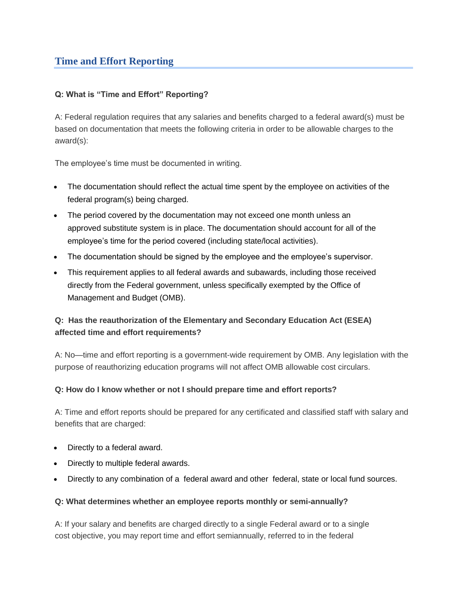# **Time and Effort Reporting**

## **Q: What is "Time and Effort" Reporting?**

A: Federal regulation requires that any salaries and benefits charged to a federal award(s) must be based on documentation that meets the following criteria in order to be allowable charges to the award(s):

The employee's time must be documented in writing.

- The documentation should reflect the actual time spent by the employee on activities of the federal program(s) being charged.
- The period covered by the documentation may not exceed one month unless an approved substitute system is in place. The documentation should account for all of the employee's time for the period covered (including state/local activities).
- The documentation should be signed by the employee and the employee's supervisor.
- This requirement applies to all federal awards and subawards, including those received directly from the Federal government, unless specifically exempted by the Office of Management and Budget (OMB).

## **Q: Has the reauthorization of the Elementary and Secondary Education Act (ESEA) affected time and effort requirements?**

A: No—time and effort reporting is a government-wide requirement by OMB. Any legislation with the purpose of reauthorizing education programs will not affect OMB allowable cost circulars.

## **Q: How do I know whether or not I should prepare time and effort reports?**

A: Time and effort reports should be prepared for any certificated and classified staff with salary and benefits that are charged:

- Directly to a federal award.
- Directly to multiple federal awards.
- Directly to any combination of a federal award and other federal, state or local fund sources.

#### **Q: What determines whether an employee reports monthly or semi-annually?**

A: If your salary and benefits are charged directly to a single Federal award or to a single cost objective, you may report time and effort semiannually, referred to in the federal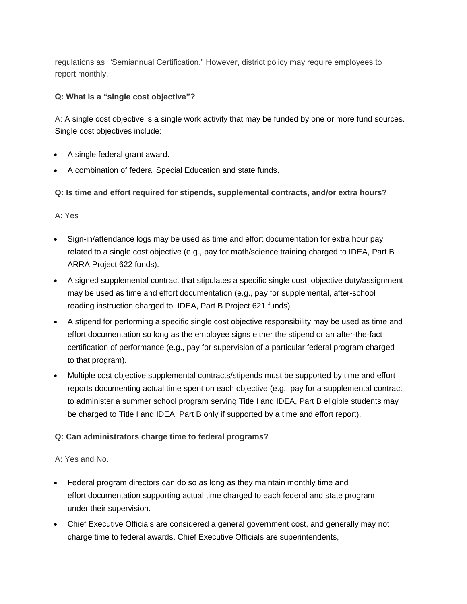regulations as "Semiannual Certification." However, district policy may require employees to report monthly.

**Q: What is a "single cost objective"?**

A: A single cost objective is a single work activity that may be funded by one or more fund sources. Single cost objectives include:

- A single federal grant award.
- A combination of federal Special Education and state funds.

**Q: Is time and effort required for stipends, supplemental contracts, and/or extra hours?**

A: Yes

- Sign-in/attendance logs may be used as time and effort documentation for extra hour pay related to a single cost objective (e.g., pay for math/science training charged to IDEA, Part B ARRA Project 622 funds).
- A signed supplemental contract that stipulates a specific single cost objective duty/assignment may be used as time and effort documentation (e.g., pay for supplemental, after-school reading instruction charged to IDEA, Part B Project 621 funds).
- A stipend for performing a specific single cost objective responsibility may be used as time and effort documentation so long as the employee signs either the stipend or an after-the-fact certification of performance (e.g., pay for supervision of a particular federal program charged to that program).
- Multiple cost objective supplemental contracts/stipends must be supported by time and effort reports documenting actual time spent on each objective (e.g., pay for a supplemental contract to administer a summer school program serving Title I and IDEA, Part B eligible students may be charged to Title I and IDEA, Part B only if supported by a time and effort report).

## **Q: Can administrators charge time to federal programs?**

A: Yes and No.

- Federal program directors can do so as long as they maintain monthly time and effort documentation supporting actual time charged to each federal and state program under their supervision.
- Chief Executive Officials are considered a general government cost, and generally may not charge time to federal awards. Chief Executive Officials are superintendents,